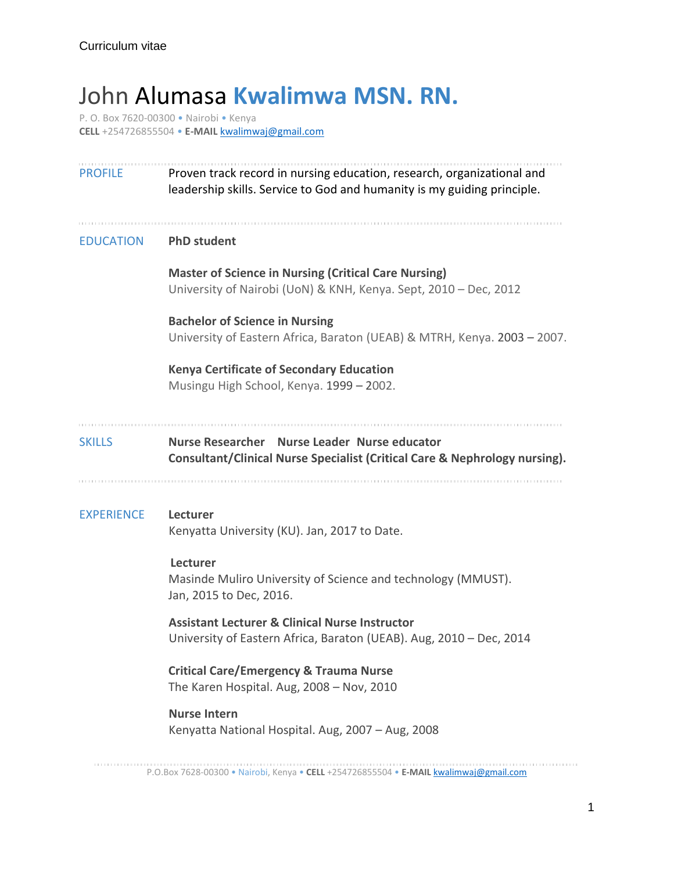## John Alumasa **Kwalimwa MSN. RN.**

P. O. Box 7620-00300 • Nairobi • Kenya **CELL** +254726855504 • **E-MAIL** [kwalimwaj@gmail.com](mailto:kwalimwaj@gmail.com)

| <b>PROFILE</b>    | Proven track record in nursing education, research, organizational and<br>leadership skills. Service to God and humanity is my guiding principle. |
|-------------------|---------------------------------------------------------------------------------------------------------------------------------------------------|
| <b>EDUCATION</b>  | <b>PhD student</b>                                                                                                                                |
|                   | <b>Master of Science in Nursing (Critical Care Nursing)</b><br>University of Nairobi (UoN) & KNH, Kenya. Sept, 2010 - Dec, 2012                   |
|                   | <b>Bachelor of Science in Nursing</b><br>University of Eastern Africa, Baraton (UEAB) & MTRH, Kenya. 2003 - 2007.                                 |
|                   | <b>Kenya Certificate of Secondary Education</b><br>Musingu High School, Kenya. 1999 - 2002.                                                       |
| <b>SKILLS</b>     | Nurse Researcher Nurse Leader Nurse educator<br>Consultant/Clinical Nurse Specialist (Critical Care & Nephrology nursing).                        |
| <b>EXPERIENCE</b> | Lecturer<br>Kenyatta University (KU). Jan, 2017 to Date.                                                                                          |
|                   | Lecturer<br>Masinde Muliro University of Science and technology (MMUST).<br>Jan, 2015 to Dec, 2016.                                               |
|                   | <b>Assistant Lecturer &amp; Clinical Nurse Instructor</b><br>University of Eastern Africa, Baraton (UEAB). Aug, 2010 - Dec, 2014                  |
|                   | <b>Critical Care/Emergency &amp; Trauma Nurse</b><br>The Karen Hospital. Aug, 2008 - Nov, 2010                                                    |
|                   | <b>Nurse Intern</b><br>Kenyatta National Hospital. Aug, 2007 - Aug, 2008                                                                          |

P.O.Box 7628-00300 • Nairobi, Kenya • **CELL** +254726855504 • **E-MAIL** [kwalimwaj@gmail.com](mailto:kwalimwaj@gmail.com)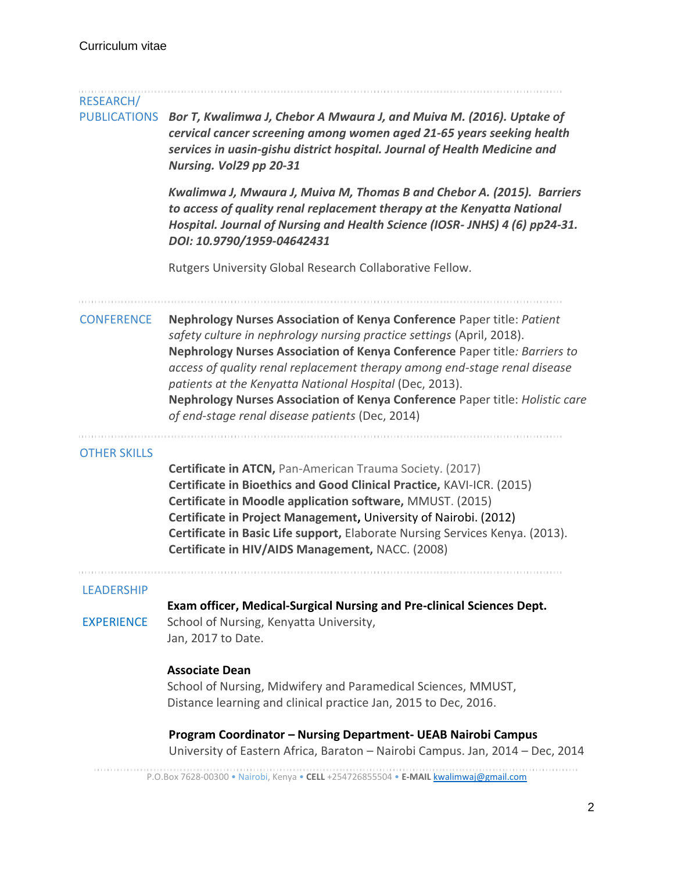| RESEARCH/           |                                                                                                                                                                                                                                                                                                                                                                                                                                                                                                          |
|---------------------|----------------------------------------------------------------------------------------------------------------------------------------------------------------------------------------------------------------------------------------------------------------------------------------------------------------------------------------------------------------------------------------------------------------------------------------------------------------------------------------------------------|
| <b>PUBLICATIONS</b> | Bor T, Kwalimwa J, Chebor A Mwaura J, and Muiva M. (2016). Uptake of<br>cervical cancer screening among women aged 21-65 years seeking health<br>services in uasin-gishu district hospital. Journal of Health Medicine and<br>Nursing. Vol29 pp 20-31                                                                                                                                                                                                                                                    |
|                     | Kwalimwa J, Mwaura J, Muiva M, Thomas B and Chebor A. (2015). Barriers<br>to access of quality renal replacement therapy at the Kenyatta National<br>Hospital. Journal of Nursing and Health Science (IOSR-JNHS) 4 (6) pp24-31.<br>DOI: 10.9790/1959-04642431                                                                                                                                                                                                                                            |
|                     | Rutgers University Global Research Collaborative Fellow.                                                                                                                                                                                                                                                                                                                                                                                                                                                 |
| <b>CONFERENCE</b>   | Nephrology Nurses Association of Kenya Conference Paper title: Patient<br>safety culture in nephrology nursing practice settings (April, 2018).<br>Nephrology Nurses Association of Kenya Conference Paper title: Barriers to<br>access of quality renal replacement therapy among end-stage renal disease<br>patients at the Kenyatta National Hospital (Dec, 2013).<br>Nephrology Nurses Association of Kenya Conference Paper title: Holistic care<br>of end-stage renal disease patients (Dec, 2014) |
| <b>OTHER SKILLS</b> | <b>Certificate in ATCN, Pan-American Trauma Society. (2017)</b><br>Certificate in Bioethics and Good Clinical Practice, KAVI-ICR. (2015)<br>Certificate in Moodle application software, MMUST. (2015)<br>Certificate in Project Management, University of Nairobi. (2012)<br>Certificate in Basic Life support, Elaborate Nursing Services Kenya. (2013).<br>Certificate in HIV/AIDS Management, NACC. (2008)                                                                                            |
| <b>LEADERSHIP</b>   |                                                                                                                                                                                                                                                                                                                                                                                                                                                                                                          |
| <b>EXPERIENCE</b>   | Exam officer, Medical-Surgical Nursing and Pre-clinical Sciences Dept.<br>School of Nursing, Kenyatta University,<br>Jan, 2017 to Date.                                                                                                                                                                                                                                                                                                                                                                  |
|                     | <b>Associate Dean</b><br>School of Nursing, Midwifery and Paramedical Sciences, MMUST,<br>Distance learning and clinical practice Jan, 2015 to Dec, 2016.                                                                                                                                                                                                                                                                                                                                                |
|                     | Program Coordinator - Nursing Department- UEAB Nairobi Campus<br>University of Eastern Africa, Baraton - Nairobi Campus. Jan, 2014 - Dec, 2014                                                                                                                                                                                                                                                                                                                                                           |
|                     | P.O.Box 7628-00300 . Nairobi, Kenya . CELL +254726855504 . E-MAIL kwalimwaj@gmail.com                                                                                                                                                                                                                                                                                                                                                                                                                    |